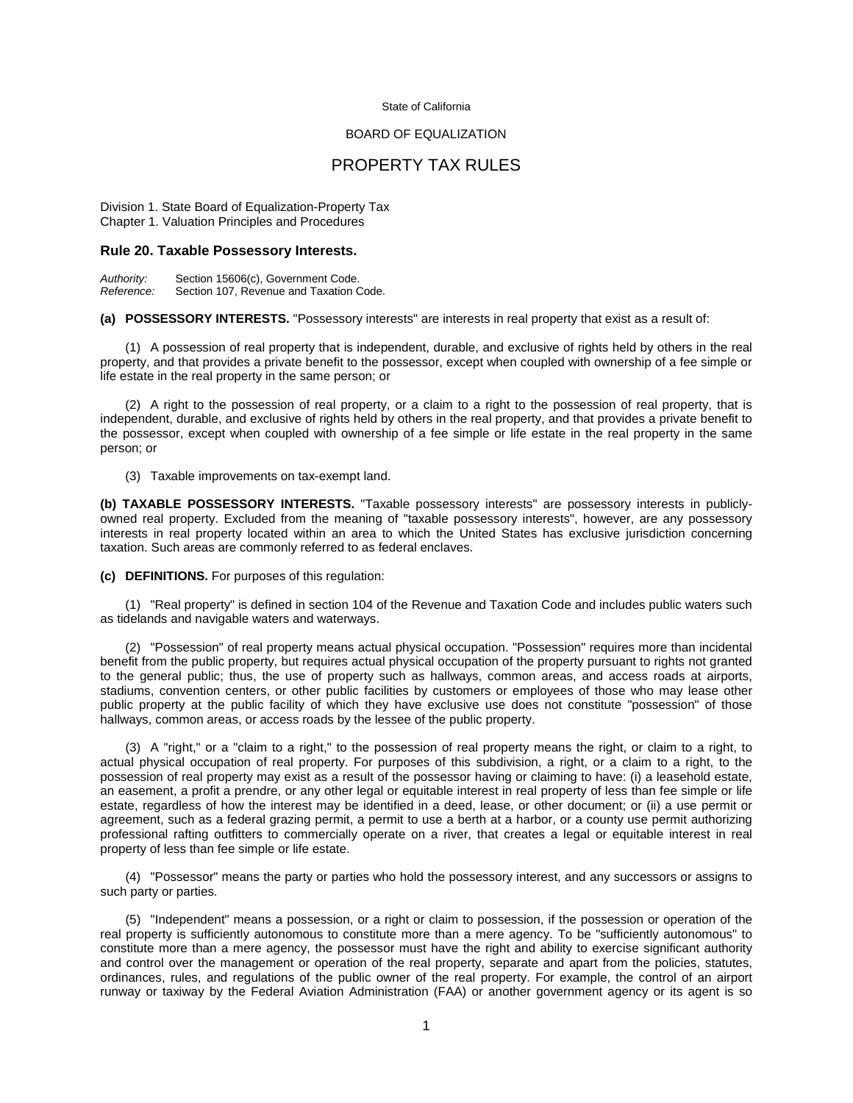## State of California

## BOARD OF EQUALIZATION

## PROPERTY TAX RULES

Division 1. State Board of Equalization-Property Tax Chapter 1. Valuation Principles and Procedures

## **Rule 20. Taxable Possessory Interests.**

*Authority:* Section 15606(c), Government Code. Section 107, Revenue and Taxation Code.

**(a) POSSESSORY INTERESTS.** "Possessory interests" are interests in real property that exist as a result of:

 (1) A possession of real property that is independent, durable, and exclusive of rights held by others in the real property, and that provides a private benefit to the possessor, except when coupled with ownership of a fee simple or life estate in the real property in the same person; or

 (2) A right to the possession of real property, or a claim to a right to the possession of real property, that is independent, durable, and exclusive of rights held by others in the real property, and that provides a private benefit to the possessor, except when coupled with ownership of a fee simple or life estate in the real property in the same person; or

(3) Taxable improvements on tax-exempt land.

**(b) TAXABLE POSSESSORY INTERESTS.** "Taxable possessory interests" are possessory interests in publiclyowned real property. Excluded from the meaning of "taxable possessory interests", however, are any possessory interests in real property located within an area to which the United States has exclusive jurisdiction concerning taxation. Such areas are commonly referred to as federal enclaves.

**(c) DEFINITIONS.** For purposes of this regulation:

 (1) "Real property" is defined in section 104 of the Revenue and Taxation Code and includes public waters such as tidelands and navigable waters and waterways.

 (2) "Possession" of real property means actual physical occupation. "Possession" requires more than incidental benefit from the public property, but requires actual physical occupation of the property pursuant to rights not granted to the general public; thus, the use of property such as hallways, common areas, and access roads at airports, stadiums, convention centers, or other public facilities by customers or employees of those who may lease other public property at the public facility of which they have exclusive use does not constitute "possession" of those hallways, common areas, or access roads by the lessee of the public property.

 (3) A "right," or a "claim to a right," to the possession of real property means the right, or claim to a right, to actual physical occupation of real property. For purposes of this subdivision, a right, or a claim to a right, to the possession of real property may exist as a result of the possessor having or claiming to have: (i) a leasehold estate, an easement, a profit a prendre, or any other legal or equitable interest in real property of less than fee simple or life estate, regardless of how the interest may be identified in a deed, lease, or other document; or (ii) a use permit or agreement, such as a federal grazing permit, a permit to use a berth at a harbor, or a county use permit authorizing professional rafting outfitters to commercially operate on a river, that creates a legal or equitable interest in real property of less than fee simple or life estate.

 (4) "Possessor" means the party or parties who hold the possessory interest, and any successors or assigns to such party or parties.

 (5) "Independent" means a possession, or a right or claim to possession, if the possession or operation of the real property is sufficiently autonomous to constitute more than a mere agency. To be "sufficiently autonomous" to constitute more than a mere agency, the possessor must have the right and ability to exercise significant authority and control over the management or operation of the real property, separate and apart from the policies, statutes, ordinances, rules, and regulations of the public owner of the real property. For example, the control of an airport runway or taxiway by the Federal Aviation Administration (FAA) or another government agency or its agent is so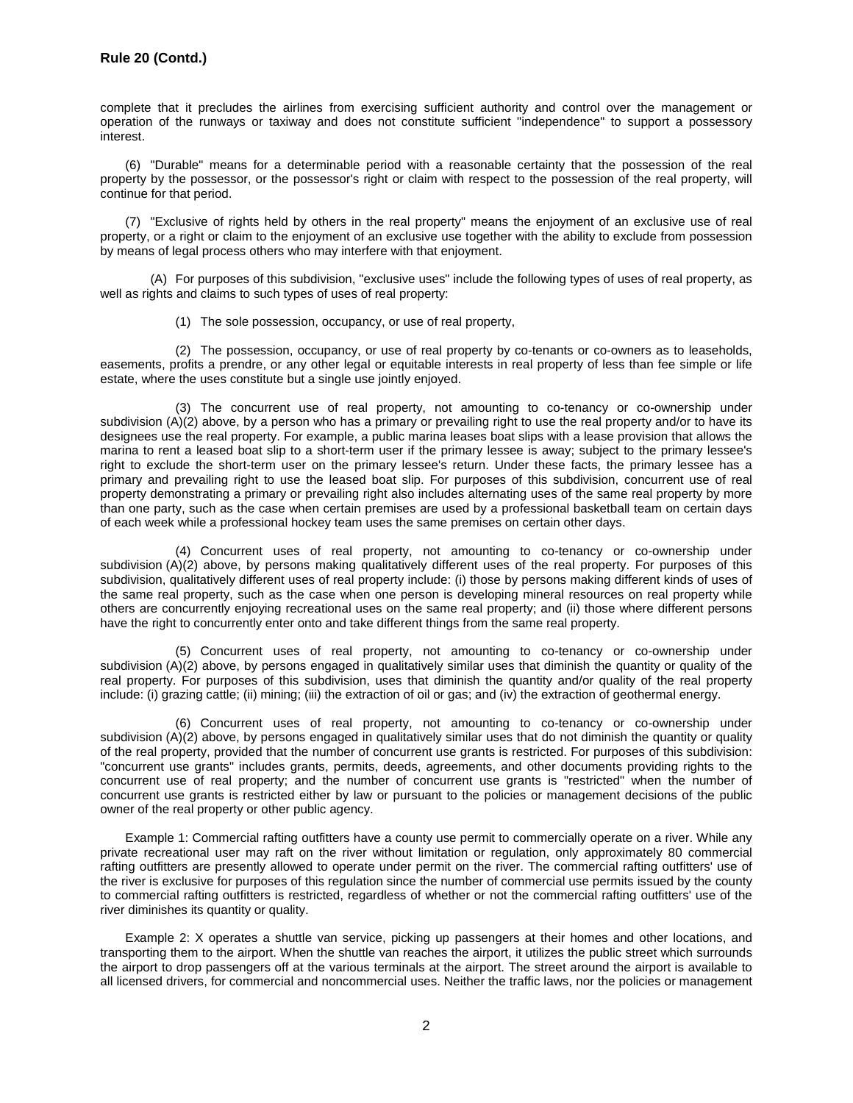complete that it precludes the airlines from exercising sufficient authority and control over the management or operation of the runways or taxiway and does not constitute sufficient "independence" to support a possessory interest.

 (6) "Durable" means for a determinable period with a reasonable certainty that the possession of the real property by the possessor, or the possessor's right or claim with respect to the possession of the real property, will continue for that period.

 (7) "Exclusive of rights held by others in the real property" means the enjoyment of an exclusive use of real property, or a right or claim to the enjoyment of an exclusive use together with the ability to exclude from possession by means of legal process others who may interfere with that enjoyment.

 (A) For purposes of this subdivision, "exclusive uses" include the following types of uses of real property, as well as rights and claims to such types of uses of real property:

(1) The sole possession, occupancy, or use of real property,

(2) The possession, occupancy, or use of real property by co-tenants or co-owners as to leaseholds, easements, profits a prendre, or any other legal or equitable interests in real property of less than fee simple or life estate, where the uses constitute but a single use jointly enjoyed.

(3) The concurrent use of real property, not amounting to co-tenancy or co-ownership under subdivision (A)(2) above, by a person who has a primary or prevailing right to use the real property and/or to have its designees use the real property. For example, a public marina leases boat slips with a lease provision that allows the marina to rent a leased boat slip to a short-term user if the primary lessee is away; subject to the primary lessee's right to exclude the short-term user on the primary lessee's return. Under these facts, the primary lessee has a primary and prevailing right to use the leased boat slip. For purposes of this subdivision, concurrent use of real property demonstrating a primary or prevailing right also includes alternating uses of the same real property by more than one party, such as the case when certain premises are used by a professional basketball team on certain days of each week while a professional hockey team uses the same premises on certain other days.

(4) Concurrent uses of real property, not amounting to co-tenancy or co-ownership under subdivision (A)(2) above, by persons making qualitatively different uses of the real property. For purposes of this subdivision, qualitatively different uses of real property include: (i) those by persons making different kinds of uses of the same real property, such as the case when one person is developing mineral resources on real property while others are concurrently enjoying recreational uses on the same real property; and (ii) those where different persons have the right to concurrently enter onto and take different things from the same real property.

(5) Concurrent uses of real property, not amounting to co-tenancy or co-ownership under subdivision (A)(2) above, by persons engaged in qualitatively similar uses that diminish the quantity or quality of the real property. For purposes of this subdivision, uses that diminish the quantity and/or quality of the real property include: (i) grazing cattle; (ii) mining; (iii) the extraction of oil or gas; and (iv) the extraction of geothermal energy.

(6) Concurrent uses of real property, not amounting to co-tenancy or co-ownership under subdivision (A)(2) above, by persons engaged in qualitatively similar uses that do not diminish the quantity or quality of the real property, provided that the number of concurrent use grants is restricted. For purposes of this subdivision: "concurrent use grants" includes grants, permits, deeds, agreements, and other documents providing rights to the concurrent use of real property; and the number of concurrent use grants is "restricted" when the number of concurrent use grants is restricted either by law or pursuant to the policies or management decisions of the public owner of the real property or other public agency.

Example 1: Commercial rafting outfitters have a county use permit to commercially operate on a river. While any private recreational user may raft on the river without limitation or regulation, only approximately 80 commercial rafting outfitters are presently allowed to operate under permit on the river. The commercial rafting outfitters' use of the river is exclusive for purposes of this regulation since the number of commercial use permits issued by the county to commercial rafting outfitters is restricted, regardless of whether or not the commercial rafting outfitters' use of the river diminishes its quantity or quality.

Example 2: X operates a shuttle van service, picking up passengers at their homes and other locations, and transporting them to the airport. When the shuttle van reaches the airport, it utilizes the public street which surrounds the airport to drop passengers off at the various terminals at the airport. The street around the airport is available to all licensed drivers, for commercial and noncommercial uses. Neither the traffic laws, nor the policies or management